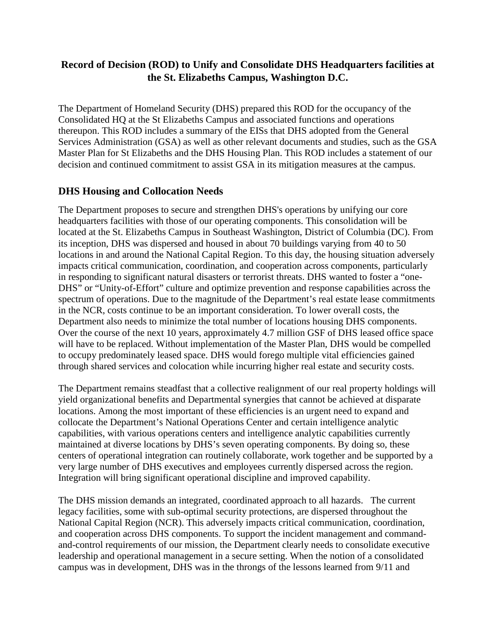# **Record of Decision (ROD) to Unify and Consolidate DHS Headquarters facilities at the St. Elizabeths Campus, Washington D.C.**

The Department of Homeland Security (DHS) prepared this ROD for the occupancy of the Consolidated HQ at the St Elizabeths Campus and associated functions and operations thereupon. This ROD includes a summary of the EISs that DHS adopted from the General Services Administration (GSA) as well as other relevant documents and studies, such as the GSA Master Plan for St Elizabeths and the DHS Housing Plan. This ROD includes a statement of our decision and continued commitment to assist GSA in its mitigation measures at the campus.

#### **DHS Housing and Collocation Needs**

The Department proposes to secure and strengthen DHS's operations by unifying our core headquarters facilities with those of our operating components. This consolidation will be located at the St. Elizabeths Campus in Southeast Washington, District of Columbia (DC). From its inception, DHS was dispersed and housed in about 70 buildings varying from 40 to 50 locations in and around the National Capital Region. To this day, the housing situation adversely impacts critical communication, coordination, and cooperation across components, particularly in responding to significant natural disasters or terrorist threats. DHS wanted to foster a "one-DHS" or "Unity-of-Effort" culture and optimize prevention and response capabilities across the spectrum of operations. Due to the magnitude of the Department's real estate lease commitments in the NCR, costs continue to be an important consideration. To lower overall costs, the Department also needs to minimize the total number of locations housing DHS components. Over the course of the next 10 years, approximately 4.7 million GSF of DHS leased office space will have to be replaced. Without implementation of the Master Plan, DHS would be compelled to occupy predominately leased space. DHS would forego multiple vital efficiencies gained through shared services and colocation while incurring higher real estate and security costs.

The Department remains steadfast that a collective realignment of our real property holdings will yield organizational benefits and Departmental synergies that cannot be achieved at disparate locations. Among the most important of these efficiencies is an urgent need to expand and collocate the Department's National Operations Center and certain intelligence analytic capabilities, with various operations centers and intelligence analytic capabilities currently maintained at diverse locations by DHS's seven operating components. By doing so, these centers of operational integration can routinely collaborate, work together and be supported by a very large number of DHS executives and employees currently dispersed across the region. Integration will bring significant operational discipline and improved capability.

The DHS mission demands an integrated, coordinated approach to all hazards. The current legacy facilities, some with sub-optimal security protections, are dispersed throughout the National Capital Region (NCR). This adversely impacts critical communication, coordination, and cooperation across DHS components. To support the incident management and commandand-control requirements of our mission, the Department clearly needs to consolidate executive leadership and operational management in a secure setting. When the notion of a consolidated campus was in development, DHS was in the throngs of the lessons learned from 9/11 and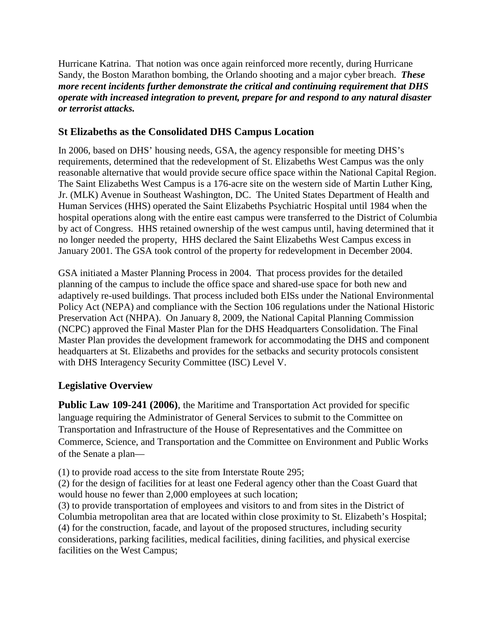Hurricane Katrina. That notion was once again reinforced more recently, during Hurricane Sandy, the Boston Marathon bombing, the Orlando shooting and a major cyber breach. *These more recent incidents further demonstrate the critical and continuing requirement that DHS operate with increased integration to prevent, prepare for and respond to any natural disaster or terrorist attacks.*

# **St Elizabeths as the Consolidated DHS Campus Location**

In 2006, based on DHS' housing needs, GSA, the agency responsible for meeting DHS's requirements, determined that the redevelopment of St. Elizabeths West Campus was the only reasonable alternative that would provide secure office space within the National Capital Region. The Saint Elizabeths West Campus is a 176-acre site on the western side of Martin Luther King, Jr. (MLK) Avenue in Southeast Washington, DC. The United States Department of Health and Human Services (HHS) operated the Saint Elizabeths Psychiatric Hospital until 1984 when the hospital operations along with the entire east campus were transferred to the District of Columbia by act of Congress. HHS retained ownership of the west campus until, having determined that it no longer needed the property, HHS declared the Saint Elizabeths West Campus excess in January 2001. The GSA took control of the property for redevelopment in December 2004.

GSA initiated a Master Planning Process in 2004. That process provides for the detailed planning of the campus to include the office space and shared-use space for both new and adaptively re-used buildings. That process included both EISs under the [National Environmental](http://www.stelizabethsdevelopment.com/nepa.html)  [Policy Act \(NEPA\)](http://www.stelizabethsdevelopment.com/nepa.html) and compliance with the Section 106 regulations under the [National Historic](http://www.stelizabethsdevelopment.com/historic-preservation.html)  [Preservation Act \(NHPA\).](http://www.stelizabethsdevelopment.com/historic-preservation.html) On January 8, 2009, the [National Capital Planning Commission](http://www.ncpc.gov/)  [\(NCPC\)](http://www.ncpc.gov/) approved the Final Master Plan for the DHS Headquarters Consolidation. The Final Master Plan provides the development framework for accommodating the DHS and component headquarters at St. Elizabeths and provides for the setbacks and security protocols consistent with DHS Interagency Security Committee (ISC) Level V.

# **Legislative Overview**

**Public Law 109-241 (2006)**, the Maritime and Transportation Act provided for specific language requiring the Administrator of General Services to submit to the Committee on Transportation and Infrastructure of the House of Representatives and the Committee on Commerce, Science, and Transportation and the Committee on Environment and Public Works of the Senate a plan—

(1) to provide road access to the site from Interstate Route 295;

(2) for the design of facilities for at least one Federal agency other than the Coast Guard that would house no fewer than 2,000 employees at such location;

(3) to provide transportation of employees and visitors to and from sites in the District of Columbia metropolitan area that are located within close proximity to St. Elizabeth's Hospital; (4) for the construction, facade, and layout of the proposed structures, including security considerations, parking facilities, medical facilities, dining facilities, and physical exercise facilities on the West Campus;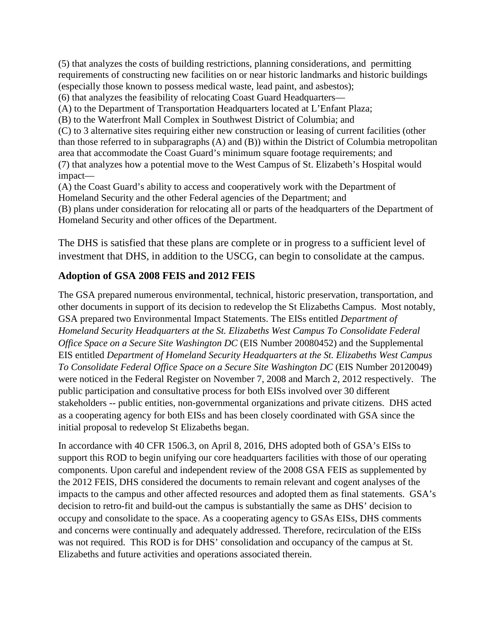(5) that analyzes the costs of building restrictions, planning considerations, and permitting requirements of constructing new facilities on or near historic landmarks and historic buildings (especially those known to possess medical waste, lead paint, and asbestos); (6) that analyzes the feasibility of relocating Coast Guard Headquarters— (A) to the Department of Transportation Headquarters located at L'Enfant Plaza; (B) to the Waterfront Mall Complex in Southwest District of Columbia; and (C) to 3 alternative sites requiring either new construction or leasing of current facilities (other than those referred to in subparagraphs (A) and (B)) within the District of Columbia metropolitan area that accommodate the Coast Guard's minimum square footage requirements; and (7) that analyzes how a potential move to the West Campus of St. Elizabeth's Hospital would impact— (A) the Coast Guard's ability to access and cooperatively work with the Department of

Homeland Security and the other Federal agencies of the Department; and (B) plans under consideration for relocating all or parts of the headquarters of the Department of Homeland Security and other offices of the Department.

The DHS is satisfied that these plans are complete or in progress to a sufficient level of investment that DHS, in addition to the USCG, can begin to consolidate at the campus.

# **Adoption of GSA 2008 FEIS and 2012 FEIS**

The GSA prepared numerous environmental, technical, historic preservation, transportation, and other documents in support of its decision to redevelop the St Elizabeths Campus. Most notably, GSA prepared two Environmental Impact Statements. The EISs entitled *Department of Homeland Security Headquarters at the St. Elizabeths West Campus To Consolidate Federal Office Space on a Secure Site Washington DC* (EIS Number 20080452) and the Supplemental EIS entitled *Department of Homeland Security Headquarters at the St. Elizabeths West Campus To Consolidate Federal Office Space on a Secure Site Washington DC* (EIS Number 20120049) were noticed in the Federal Register on November 7, 2008 and March 2, 2012 respectively. The public participation and consultative process for both EISs involved over 30 different stakeholders -- public entities, non-governmental organizations and private citizens. DHS acted as a cooperating agency for both EISs and has been closely coordinated with GSA since the initial proposal to redevelop St Elizabeths began.

In accordance with 40 CFR 1506.3, on April 8, 2016, DHS adopted both of GSA's EISs to support this ROD to begin unifying our core headquarters facilities with those of our operating components. Upon careful and independent review of the 2008 GSA FEIS as supplemented by the 2012 FEIS, DHS considered the documents to remain relevant and cogent analyses of the impacts to the campus and other affected resources and adopted them as final statements. GSA's decision to retro-fit and build-out the campus is substantially the same as DHS' decision to occupy and consolidate to the space. As a cooperating agency to GSAs EISs, DHS comments and concerns were continually and adequately addressed. Therefore, recirculation of the EISs was not required. This ROD is for DHS' consolidation and occupancy of the campus at St. Elizabeths and future activities and operations associated therein.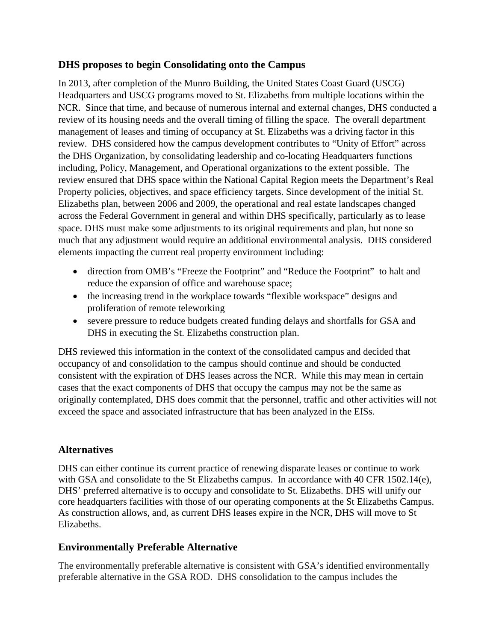### **DHS proposes to begin Consolidating onto the Campus**

In 2013, after completion of the Munro Building, the United States Coast Guard (USCG) Headquarters and USCG programs moved to St. Elizabeths from multiple locations within the NCR. Since that time, and because of numerous internal and external changes, DHS conducted a review of its housing needs and the overall timing of filling the space. The overall department management of leases and timing of occupancy at St. Elizabeths was a driving factor in this review. DHS considered how the campus development contributes to "Unity of Effort" across the DHS Organization, by consolidating leadership and co-locating Headquarters functions including, Policy, Management, and Operational organizations to the extent possible. The review ensured that DHS space within the National Capital Region meets the Department's Real Property policies, objectives, and space efficiency targets. Since development of the initial St. Elizabeths plan, between 2006 and 2009, the operational and real estate landscapes changed across the Federal Government in general and within DHS specifically, particularly as to lease space. DHS must make some adjustments to its original requirements and plan, but none so much that any adjustment would require an additional environmental analysis. DHS considered elements impacting the current real property environment including:

- direction from OMB's "Freeze the Footprint" and "Reduce the Footprint" to halt and reduce the expansion of office and warehouse space;
- the increasing trend in the workplace towards "flexible workspace" designs and proliferation of remote teleworking
- severe pressure to reduce budgets created funding delays and shortfalls for GSA and DHS in executing the St. Elizabeths construction plan.

DHS reviewed this information in the context of the consolidated campus and decided that occupancy of and consolidation to the campus should continue and should be conducted consistent with the expiration of DHS leases across the NCR. While this may mean in certain cases that the exact components of DHS that occupy the campus may not be the same as originally contemplated, DHS does commit that the personnel, traffic and other activities will not exceed the space and associated infrastructure that has been analyzed in the EISs.

# **Alternatives**

DHS can either continue its current practice of renewing disparate leases or continue to work with GSA and consolidate to the St Elizabeths campus. In accordance with 40 CFR 1502.14(e), DHS' preferred alternative is to occupy and consolidate to St. Elizabeths. DHS will unify our core headquarters facilities with those of our operating components at the St Elizabeths Campus. As construction allows, and, as current DHS leases expire in the NCR, DHS will move to St Elizabeths.

# **Environmentally Preferable Alternative**

The environmentally preferable alternative is consistent with GSA's identified environmentally preferable alternative in the GSA ROD. DHS consolidation to the campus includes the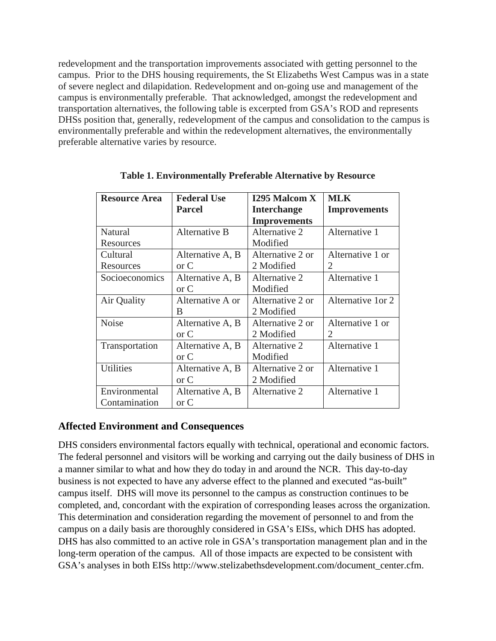redevelopment and the transportation improvements associated with getting personnel to the campus. Prior to the DHS housing requirements, the St Elizabeths West Campus was in a state of severe neglect and dilapidation. Redevelopment and on-going use and management of the campus is environmentally preferable. That acknowledged, amongst the redevelopment and transportation alternatives, the following table is excerpted from GSA's ROD and represents DHSs position that, generally, redevelopment of the campus and consolidation to the campus is environmentally preferable and within the redevelopment alternatives, the environmentally preferable alternative varies by resource.

| <b>Resource Area</b> | <b>Federal Use</b> | <b>I295 Malcom X</b> | <b>MLK</b>          |
|----------------------|--------------------|----------------------|---------------------|
|                      | <b>Parcel</b>      | <b>Interchange</b>   | <b>Improvements</b> |
|                      |                    | <b>Improvements</b>  |                     |
| Natural              | Alternative B      | Alternative 2        | Alternative 1       |
| Resources            |                    | Modified             |                     |
| Cultural             | Alternative A, B   | Alternative 2 or     | Alternative 1 or    |
| Resources            | or C               | 2 Modified           | 2                   |
| Socioeconomics       | Alternative A, B   | Alternative 2        | Alternative 1       |
|                      | $\alpha$ C         | Modified             |                     |
| Air Quality          | Alternative A or   | Alternative 2 or     | Alternative 1 or 2  |
|                      | B                  | 2 Modified           |                     |
| <b>Noise</b>         | Alternative A, B   | Alternative 2 or     | Alternative 1 or    |
|                      | $\alpha$ C         | 2 Modified           | 2                   |
| Transportation       | Alternative A, B   | Alternative 2        | Alternative 1       |
|                      | or C               | Modified             |                     |
| <b>Utilities</b>     | Alternative A, B   | Alternative 2 or     | Alternative 1       |
|                      | $\alpha$ C         | 2 Modified           |                     |
| Environmental        | Alternative A, B   | Alternative 2        | Alternative 1       |
| Contamination        | or C               |                      |                     |

**Table 1. Environmentally Preferable Alternative by Resource**

# **Affected Environment and Consequences**

DHS considers environmental factors equally with technical, operational and economic factors. The federal personnel and visitors will be working and carrying out the daily business of DHS in a manner similar to what and how they do today in and around the NCR. This day-to-day business is not expected to have any adverse effect to the planned and executed "as-built" campus itself. DHS will move its personnel to the campus as construction continues to be completed, and, concordant with the expiration of corresponding leases across the organization. This determination and consideration regarding the movement of personnel to and from the campus on a daily basis are thoroughly considered in GSA's EISs, which DHS has adopted. DHS has also committed to an active role in GSA's transportation management plan and in the long-term operation of the campus. All of those impacts are expected to be consistent with GSA's analyses in both EISs http://www.stelizabethsdevelopment.com/document\_center.cfm.